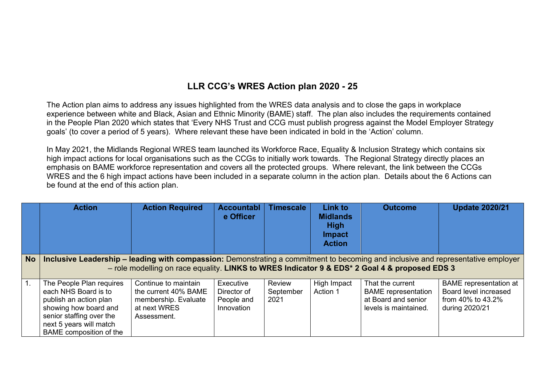## **LLR CCG's WRES Action plan 2020 - 25**

The Action plan aims to address any issues highlighted from the WRES data analysis and to close the gaps in workplace experience between white and Black, Asian and Ethnic Minority (BAME) staff. The plan also includes the requirements contained in the People Plan 2020 which states that 'Every NHS Trust and CCG must publish progress against the Model Employer Strategy goals' (to cover a period of 5 years). Where relevant these have been indicated in bold in the 'Action' column.

In May 2021, the Midlands Regional WRES team launched its Workforce Race, Equality & Inclusion Strategy which contains six high impact actions for local organisations such as the CCGs to initially work towards. The Regional Strategy directly places an emphasis on BAME workforce representation and covers all the protected groups. Where relevant, the link between the CCGs WRES and the 6 high impact actions have been included in a separate column in the action plan. Details about the 6 Actions can be found at the end of this action plan.

|                  | <b>Action</b>                                                                                                                                                                         | <b>Action Required</b>                                                                              | <b>Accountabl</b><br>e Officer                       | <b>Timescale</b>            | <b>Link to</b><br><b>Midlands</b><br><b>High</b><br><b>Impact</b><br><b>Action</b> | <b>Outcome</b>                                                                                 | <b>Update 2020/21</b>                                                                         |
|------------------|---------------------------------------------------------------------------------------------------------------------------------------------------------------------------------------|-----------------------------------------------------------------------------------------------------|------------------------------------------------------|-----------------------------|------------------------------------------------------------------------------------|------------------------------------------------------------------------------------------------|-----------------------------------------------------------------------------------------------|
| <b>No</b>        | Inclusive Leadership – leading with compassion: Demonstrating a commitment to becoming and inclusive and representative employer                                                      | - role modelling on race equality. LINKS to WRES Indicator 9 & EDS* 2 Goal 4 & proposed EDS 3       |                                                      |                             |                                                                                    |                                                                                                |                                                                                               |
| $\overline{1}$ . | The People Plan requires<br>each NHS Board is to<br>publish an action plan<br>showing how board and<br>senior staffing over the<br>next 5 years will match<br>BAME composition of the | Continue to maintain<br>the current 40% BAME<br>membership. Evaluate<br>at next WRES<br>Assessment. | Executive<br>Director of<br>People and<br>Innovation | Review<br>September<br>2021 | High Impact<br>Action 1                                                            | That the current<br><b>BAME</b> representation<br>at Board and senior<br>levels is maintained. | <b>BAME</b> representation at<br>Board level increased<br>from 40% to 43.2%<br>during 2020/21 |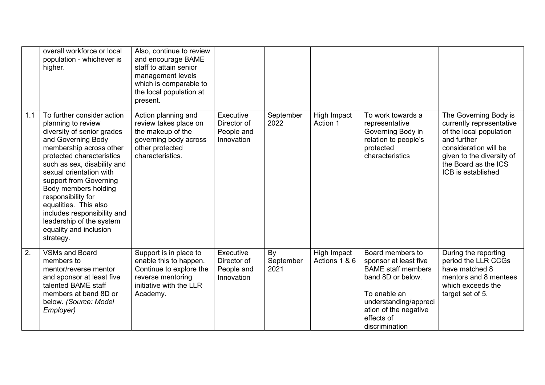|     | overall workforce or local<br>population - whichever is<br>higher.                                                                                                                                                                                                                                                                                                                                                        | Also, continue to review<br>and encourage BAME<br>staff to attain senior<br>management levels<br>which is comparable to<br>the local population at<br>present. |                                                      |                         |                              |                                                                                                                                                                                               |                                                                                                                                                                                                 |
|-----|---------------------------------------------------------------------------------------------------------------------------------------------------------------------------------------------------------------------------------------------------------------------------------------------------------------------------------------------------------------------------------------------------------------------------|----------------------------------------------------------------------------------------------------------------------------------------------------------------|------------------------------------------------------|-------------------------|------------------------------|-----------------------------------------------------------------------------------------------------------------------------------------------------------------------------------------------|-------------------------------------------------------------------------------------------------------------------------------------------------------------------------------------------------|
| 1.1 | To further consider action<br>planning to review<br>diversity of senior grades<br>and Governing Body<br>membership across other<br>protected characteristics<br>such as sex, disability and<br>sexual orientation with<br>support from Governing<br>Body members holding<br>responsibility for<br>equalities. This also<br>includes responsibility and<br>leadership of the system<br>equality and inclusion<br>strategy. | Action planning and<br>review takes place on<br>the makeup of the<br>governing body across<br>other protected<br>characteristics.                              | Executive<br>Director of<br>People and<br>Innovation | September<br>2022       | High Impact<br>Action 1      | To work towards a<br>representative<br>Governing Body in<br>relation to people's<br>protected<br>characteristics                                                                              | The Governing Body is<br>currently representative<br>of the local population<br>and further<br>consideration will be<br>given to the diversity of<br>the Board as the ICS<br>ICB is established |
| 2.  | <b>VSMs and Board</b><br>members to<br>mentor/reverse mentor<br>and sponsor at least five<br>talented BAME staff<br>members at band 8D or<br>below. (Source: Model<br>Employer)                                                                                                                                                                                                                                           | Support is in place to<br>enable this to happen.<br>Continue to explore the<br>reverse mentoring<br>initiative with the LLR<br>Academy.                        | Executive<br>Director of<br>People and<br>Innovation | By<br>September<br>2021 | High Impact<br>Actions 1 & 6 | Board members to<br>sponsor at least five<br><b>BAME</b> staff members<br>band 8D or below.<br>To enable an<br>understanding/appreci<br>ation of the negative<br>effects of<br>discrimination | During the reporting<br>period the LLR CCGs<br>have matched 8<br>mentors and 8 mentees<br>which exceeds the<br>target set of 5.                                                                 |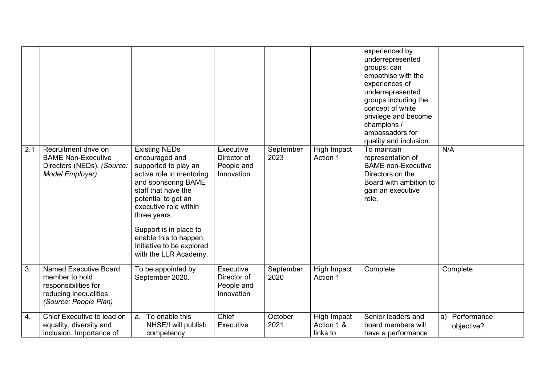| 2.1 | Recruitment drive on                                                                                                      | <b>Existing NEDs</b>                                                                                                                                                                                                                                                                       | Executive                                            | September         | High Impact                           | experienced by<br>underrepresented<br>groups; can<br>empathise with the<br>experiences of<br>underrepresented<br>groups including the<br>concept of white<br>privilege and become<br>champions /<br>ambassadors for<br>quality and inclusion.<br>To maintain | N/A                          |
|-----|---------------------------------------------------------------------------------------------------------------------------|--------------------------------------------------------------------------------------------------------------------------------------------------------------------------------------------------------------------------------------------------------------------------------------------|------------------------------------------------------|-------------------|---------------------------------------|--------------------------------------------------------------------------------------------------------------------------------------------------------------------------------------------------------------------------------------------------------------|------------------------------|
|     | <b>BAME Non-Executive</b><br>Directors (NEDs). (Source:<br>Model Employer)                                                | encouraged and<br>supported to play an<br>active role in mentoring<br>and sponsoring BAME<br>staff that have the<br>potential to get an<br>executive role within<br>three years.<br>Support is in place to<br>enable this to happen.<br>Initiative to be explored<br>with the LLR Academy. | Director of<br>People and<br>Innovation              | 2023              | Action 1                              | representation of<br><b>BAME</b> non-Executive<br>Directors on the<br>Board with ambition to<br>gain an executive<br>role.                                                                                                                                   |                              |
| 3.  | <b>Named Executive Board</b><br>member to hold<br>responsibilities for<br>reducing inequalities.<br>(Source: People Plan) | To be appointed by<br>September 2020.                                                                                                                                                                                                                                                      | Executive<br>Director of<br>People and<br>Innovation | September<br>2020 | High Impact<br>Action 1               | Complete                                                                                                                                                                                                                                                     | Complete                     |
| 4.  | Chief Executive to lead on<br>equality, diversity and<br>inclusion. Importance of                                         | To enable this<br>a.<br>NHSE/I will publish<br>competency                                                                                                                                                                                                                                  | Chief<br>Executive                                   | October<br>2021   | High Impact<br>Action 1 &<br>links to | Senior leaders and<br>board members will<br>have a performance                                                                                                                                                                                               | a) Performance<br>objective? |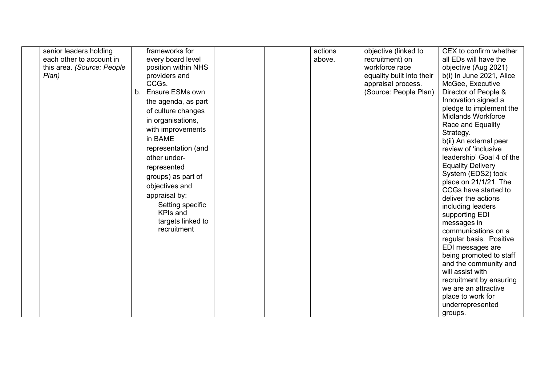| senior leaders holding     |                | frameworks for      |  | actions | objective (linked to      | CEX to confirm whether    |
|----------------------------|----------------|---------------------|--|---------|---------------------------|---------------------------|
|                            |                |                     |  |         |                           |                           |
| each other to account in   |                | every board level   |  | above.  | recruitment) on           | all EDs will have the     |
| this area. (Source: People |                | position within NHS |  |         | workforce race            | objective (Aug 2021)      |
| Plan)                      |                | providers and       |  |         | equality built into their | b(i) In June 2021, Alice  |
|                            |                | CCGs.               |  |         | appraisal process.        | McGee, Executive          |
|                            | b <sub>1</sub> | Ensure ESMs own     |  |         | (Source: People Plan)     | Director of People &      |
|                            |                | the agenda, as part |  |         |                           | Innovation signed a       |
|                            |                | of culture changes  |  |         |                           | pledge to implement the   |
|                            |                | in organisations,   |  |         |                           | <b>Midlands Workforce</b> |
|                            |                |                     |  |         |                           | Race and Equality         |
|                            |                | with improvements   |  |         |                           | Strategy.                 |
|                            |                | in BAME             |  |         |                           | b(ii) An external peer    |
|                            |                | representation (and |  |         |                           | review of 'inclusive      |
|                            |                | other under-        |  |         |                           | leadership' Goal 4 of the |
|                            |                | represented         |  |         |                           | <b>Equality Delivery</b>  |
|                            |                |                     |  |         |                           | System (EDS2) took        |
|                            |                | groups) as part of  |  |         |                           | place on 21/1/21. The     |
|                            |                | objectives and      |  |         |                           | CCGs have started to      |
|                            |                | appraisal by:       |  |         |                           | deliver the actions       |
|                            |                | Setting specific    |  |         |                           | including leaders         |
|                            |                | <b>KPIs and</b>     |  |         |                           | supporting EDI            |
|                            |                | targets linked to   |  |         |                           | messages in               |
|                            |                | recruitment         |  |         |                           | communications on a       |
|                            |                |                     |  |         |                           | regular basis. Positive   |
|                            |                |                     |  |         |                           | EDI messages are          |
|                            |                |                     |  |         |                           |                           |
|                            |                |                     |  |         |                           | being promoted to staff   |
|                            |                |                     |  |         |                           | and the community and     |
|                            |                |                     |  |         |                           | will assist with          |
|                            |                |                     |  |         |                           | recruitment by ensuring   |
|                            |                |                     |  |         |                           | we are an attractive      |
|                            |                |                     |  |         |                           | place to work for         |
|                            |                |                     |  |         |                           | underrepresented          |
|                            |                |                     |  |         |                           | groups.                   |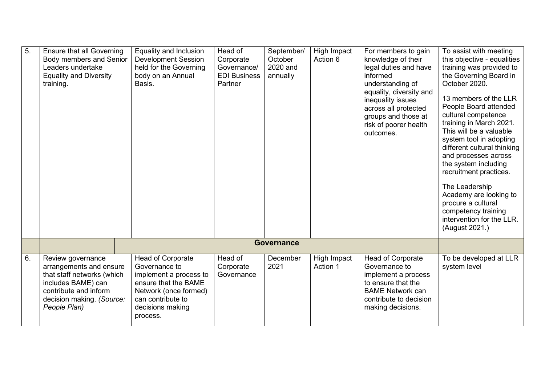| $\overline{5}$ . | <b>Ensure that all Governing</b><br>Body members and Senior<br>Leaders undertake<br><b>Equality and Diversity</b><br>training.                                         | Equality and Inclusion<br><b>Development Session</b><br>held for the Governing<br>body on an Annual<br>Basis.                                                      | Head of<br>Corporate<br>Governance/<br><b>EDI Business</b><br>Partner | September/<br>October<br>2020 and<br>annually | High Impact<br>Action 6 | For members to gain<br>knowledge of their<br>legal duties and have<br>informed<br>understanding of<br>equality, diversity and<br>inequality issues<br>across all protected<br>groups and those at<br>risk of poorer health<br>outcomes. | To assist with meeting<br>this objective - equalities<br>training was provided to<br>the Governing Board in<br>October 2020.<br>13 members of the LLR<br>People Board attended<br>cultural competence<br>training in March 2021.<br>This will be a valuable<br>system tool in adopting<br>different cultural thinking<br>and processes across<br>the system including<br>recruitment practices.<br>The Leadership<br>Academy are looking to<br>procure a cultural<br>competency training<br>intervention for the LLR.<br>(August 2021.) |
|------------------|------------------------------------------------------------------------------------------------------------------------------------------------------------------------|--------------------------------------------------------------------------------------------------------------------------------------------------------------------|-----------------------------------------------------------------------|-----------------------------------------------|-------------------------|-----------------------------------------------------------------------------------------------------------------------------------------------------------------------------------------------------------------------------------------|-----------------------------------------------------------------------------------------------------------------------------------------------------------------------------------------------------------------------------------------------------------------------------------------------------------------------------------------------------------------------------------------------------------------------------------------------------------------------------------------------------------------------------------------|
|                  |                                                                                                                                                                        |                                                                                                                                                                    |                                                                       | <b>Governance</b>                             |                         |                                                                                                                                                                                                                                         |                                                                                                                                                                                                                                                                                                                                                                                                                                                                                                                                         |
|                  |                                                                                                                                                                        |                                                                                                                                                                    |                                                                       |                                               |                         |                                                                                                                                                                                                                                         |                                                                                                                                                                                                                                                                                                                                                                                                                                                                                                                                         |
| 6.               | Review governance<br>arrangements and ensure<br>that staff networks (which<br>includes BAME) can<br>contribute and inform<br>decision making. (Source:<br>People Plan) | Head of Corporate<br>Governance to<br>implement a process to<br>ensure that the BAME<br>Network (once formed)<br>can contribute to<br>decisions making<br>process. | Head of<br>Corporate<br>Governance                                    | December<br>2021                              | High Impact<br>Action 1 | <b>Head of Corporate</b><br>Governance to<br>implement a process<br>to ensure that the<br><b>BAME Network can</b><br>contribute to decision<br>making decisions.                                                                        | To be developed at LLR<br>system level                                                                                                                                                                                                                                                                                                                                                                                                                                                                                                  |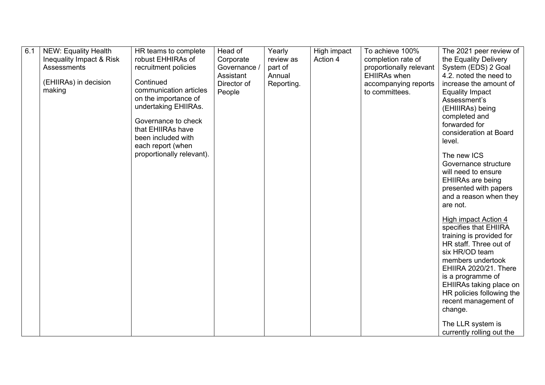| 6.1 | <b>NEW: Equality Health</b> | HR teams to complete      | Head of      | Yearly     | High impact | To achieve 100%         | The 2021 peer review of                    |
|-----|-----------------------------|---------------------------|--------------|------------|-------------|-------------------------|--------------------------------------------|
|     | Inequality Impact & Risk    | robust EHHIRAs of         | Corporate    | review as  | Action 4    | completion rate of      | the Equality Delivery                      |
|     | Assessments                 | recruitment policies      | Governance / | part of    |             | proportionally relevant | System (EDS) 2 Goal                        |
|     |                             |                           | Assistant    | Annual     |             | <b>EHIIRAs when</b>     | 4.2. noted the need to                     |
|     | (EHIIRAs) in decision       | Continued                 | Director of  | Reporting. |             | accompanying reports    | increase the amount of                     |
|     | making                      | communication articles    | People       |            |             | to committees.          | <b>Equality Impact</b>                     |
|     |                             | on the importance of      |              |            |             |                         | Assessment's                               |
|     |                             | undertaking EHIIRAs.      |              |            |             |                         | (EHIIIRAs) being                           |
|     |                             |                           |              |            |             |                         | completed and                              |
|     |                             | Governance to check       |              |            |             |                         | forwarded for                              |
|     |                             | that EHIIRAs have         |              |            |             |                         | consideration at Board                     |
|     |                             | been included with        |              |            |             |                         | level.                                     |
|     |                             | each report (when         |              |            |             |                         |                                            |
|     |                             | proportionally relevant). |              |            |             |                         | The new ICS                                |
|     |                             |                           |              |            |             |                         | Governance structure                       |
|     |                             |                           |              |            |             |                         | will need to ensure                        |
|     |                             |                           |              |            |             |                         | <b>EHIIRAs are being</b>                   |
|     |                             |                           |              |            |             |                         | presented with papers                      |
|     |                             |                           |              |            |             |                         | and a reason when they                     |
|     |                             |                           |              |            |             |                         | are not.                                   |
|     |                             |                           |              |            |             |                         |                                            |
|     |                             |                           |              |            |             |                         | High impact Action 4                       |
|     |                             |                           |              |            |             |                         | specifies that EHIIRA                      |
|     |                             |                           |              |            |             |                         | training is provided for                   |
|     |                             |                           |              |            |             |                         | HR staff. Three out of<br>six HR/OD team   |
|     |                             |                           |              |            |             |                         |                                            |
|     |                             |                           |              |            |             |                         | members undertook<br>EHIIRA 2020/21. There |
|     |                             |                           |              |            |             |                         | is a programme of                          |
|     |                             |                           |              |            |             |                         | EHIIRAs taking place on                    |
|     |                             |                           |              |            |             |                         | HR policies following the                  |
|     |                             |                           |              |            |             |                         | recent management of                       |
|     |                             |                           |              |            |             |                         | change.                                    |
|     |                             |                           |              |            |             |                         |                                            |
|     |                             |                           |              |            |             |                         | The LLR system is                          |
|     |                             |                           |              |            |             |                         | currently rolling out the                  |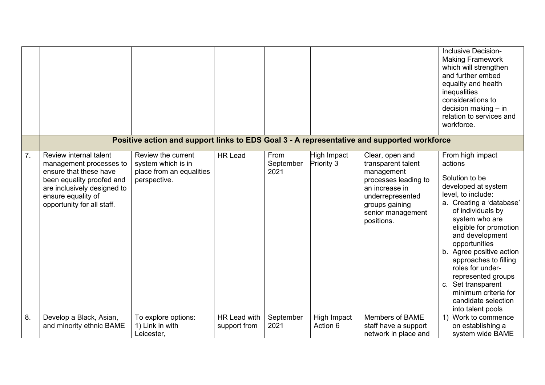|    |                                                                                                                                                                                             |                                                                                            |                                     |                           |                           |                                                                                                                                                                        | <b>Inclusive Decision-</b><br><b>Making Framework</b><br>which will strengthen<br>and further embed<br>equality and health<br>inequalities<br>considerations to<br>decision making - in<br>relation to services and<br>workforce.                                                                                                                                                                                    |
|----|---------------------------------------------------------------------------------------------------------------------------------------------------------------------------------------------|--------------------------------------------------------------------------------------------|-------------------------------------|---------------------------|---------------------------|------------------------------------------------------------------------------------------------------------------------------------------------------------------------|----------------------------------------------------------------------------------------------------------------------------------------------------------------------------------------------------------------------------------------------------------------------------------------------------------------------------------------------------------------------------------------------------------------------|
|    |                                                                                                                                                                                             | Positive action and support links to EDS Goal 3 - A representative and supported workforce |                                     |                           |                           |                                                                                                                                                                        |                                                                                                                                                                                                                                                                                                                                                                                                                      |
| 7. | Review internal talent<br>management processes to<br>ensure that these have<br>been equality proofed and<br>are inclusively designed to<br>ensure equality of<br>opportunity for all staff. | Review the current<br>system which is in<br>place from an equalities<br>perspective.       | <b>HR Lead</b>                      | From<br>September<br>2021 | High Impact<br>Priority 3 | Clear, open and<br>transparent talent<br>management<br>processes leading to<br>an increase in<br>underrepresented<br>groups gaining<br>senior management<br>positions. | From high impact<br>actions<br>Solution to be<br>developed at system<br>level, to include:<br>a. Creating a 'database'<br>of individuals by<br>system who are<br>eligible for promotion<br>and development<br>opportunities<br>b. Agree positive action<br>approaches to filling<br>roles for under-<br>represented groups<br>c. Set transparent<br>minimum criteria for<br>candidate selection<br>into talent pools |
| 8. | Develop a Black, Asian,<br>and minority ethnic BAME                                                                                                                                         | To explore options:<br>1) Link in with<br>Leicester,                                       | <b>HR Lead with</b><br>support from | September<br>2021         | High Impact<br>Action 6   | <b>Members of BAME</b><br>staff have a support<br>network in place and                                                                                                 | 1) Work to commence<br>on establishing a<br>system wide BAME                                                                                                                                                                                                                                                                                                                                                         |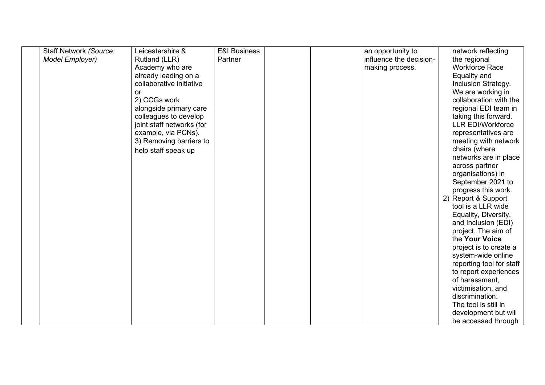| <b>Staff Network (Source:</b> | Leicestershire &          | <b>E&amp;I Business</b> |  | an opportunity to       | network reflecting       |
|-------------------------------|---------------------------|-------------------------|--|-------------------------|--------------------------|
| Model Employer)               | Rutland (LLR)             | Partner                 |  | influence the decision- | the regional             |
|                               | Academy who are           |                         |  | making process.         | <b>Workforce Race</b>    |
|                               | already leading on a      |                         |  |                         | Equality and             |
|                               | collaborative initiative  |                         |  |                         | Inclusion Strategy.      |
|                               | or                        |                         |  |                         | We are working in        |
|                               | 2) CCGs work              |                         |  |                         | collaboration with the   |
|                               | alongside primary care    |                         |  |                         | regional EDI team in     |
|                               | colleagues to develop     |                         |  |                         | taking this forward.     |
|                               | joint staff networks (for |                         |  |                         | <b>LLR EDI/Workforce</b> |
|                               | example, via PCNs).       |                         |  |                         | representatives are      |
|                               | 3) Removing barriers to   |                         |  |                         | meeting with network     |
|                               | help staff speak up       |                         |  |                         | chairs (where            |
|                               |                           |                         |  |                         | networks are in place    |
|                               |                           |                         |  |                         | across partner           |
|                               |                           |                         |  |                         | organisations) in        |
|                               |                           |                         |  |                         | September 2021 to        |
|                               |                           |                         |  |                         | progress this work.      |
|                               |                           |                         |  |                         | 2) Report & Support      |
|                               |                           |                         |  |                         | tool is a LLR wide       |
|                               |                           |                         |  |                         | Equality, Diversity,     |
|                               |                           |                         |  |                         | and Inclusion (EDI)      |
|                               |                           |                         |  |                         | project. The aim of      |
|                               |                           |                         |  |                         | the Your Voice           |
|                               |                           |                         |  |                         | project is to create a   |
|                               |                           |                         |  |                         | system-wide online       |
|                               |                           |                         |  |                         | reporting tool for staff |
|                               |                           |                         |  |                         | to report experiences    |
|                               |                           |                         |  |                         | of harassment,           |
|                               |                           |                         |  |                         | victimisation, and       |
|                               |                           |                         |  |                         | discrimination.          |
|                               |                           |                         |  |                         | The tool is still in     |
|                               |                           |                         |  |                         | development but will     |
|                               |                           |                         |  |                         | be accessed through      |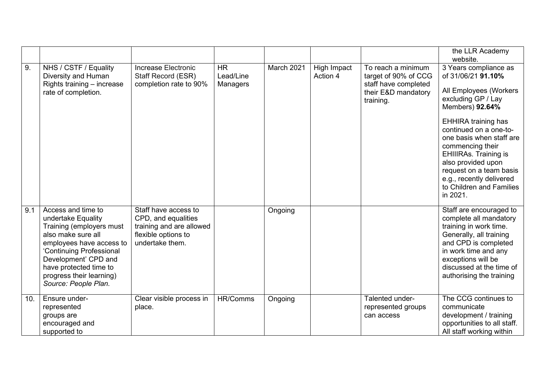|     |                                                                                                                                                                                                                                                          |                                                                                                                   |                                    |            |                         |                                                                                                        | the LLR Academy<br>website.                                                                                                                                                                                                                                                                                                                                                 |
|-----|----------------------------------------------------------------------------------------------------------------------------------------------------------------------------------------------------------------------------------------------------------|-------------------------------------------------------------------------------------------------------------------|------------------------------------|------------|-------------------------|--------------------------------------------------------------------------------------------------------|-----------------------------------------------------------------------------------------------------------------------------------------------------------------------------------------------------------------------------------------------------------------------------------------------------------------------------------------------------------------------------|
| 9.  | NHS / CSTF / Equality<br>Diversity and Human<br>Rights training - increase<br>rate of completion.                                                                                                                                                        | Increase Electronic<br>Staff Record (ESR)<br>completion rate to 90%                                               | <b>HR</b><br>Lead/Line<br>Managers | March 2021 | High Impact<br>Action 4 | To reach a minimum<br>target of 90% of CCG<br>staff have completed<br>their E&D mandatory<br>training. | 3 Years compliance as<br>of 31/06/21 91.10%<br>All Employees (Workers<br>excluding GP / Lay<br>Members) 92.64%<br><b>EHHIRA training has</b><br>continued on a one-to-<br>one basis when staff are<br>commencing their<br><b>EHIIIRAs. Training is</b><br>also provided upon<br>request on a team basis<br>e.g., recently delivered<br>to Children and Families<br>in 2021. |
| 9.1 | Access and time to<br>undertake Equality<br>Training (employers must<br>also make sure all<br>employees have access to<br>'Continuing Professional<br>Development' CPD and<br>have protected time to<br>progress their learning)<br>Source: People Plan. | Staff have access to<br>CPD, and equalities<br>training and are allowed<br>flexible options to<br>undertake them. |                                    | Ongoing    |                         |                                                                                                        | Staff are encouraged to<br>complete all mandatory<br>training in work time.<br>Generally, all training<br>and CPD is completed<br>in work time and any<br>exceptions will be<br>discussed at the time of<br>authorising the training                                                                                                                                        |
| 10. | Ensure under-<br>represented<br>groups are<br>encouraged and<br>supported to                                                                                                                                                                             | Clear visible process in<br>place.                                                                                | HR/Comms                           | Ongoing    |                         | Talented under-<br>represented groups<br>can access                                                    | The CCG continues to<br>communicate<br>development / training<br>opportunities to all staff.<br>All staff working within                                                                                                                                                                                                                                                    |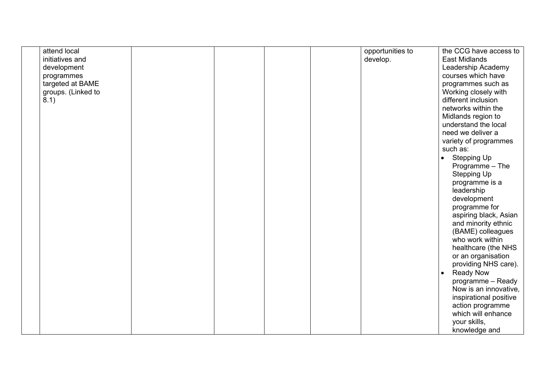| attend local       |  |  | opportunities to | the CCG have access to          |
|--------------------|--|--|------------------|---------------------------------|
| initiatives and    |  |  | develop.         | <b>East Midlands</b>            |
| development        |  |  |                  | Leadership Academy              |
| programmes         |  |  |                  | courses which have              |
| targeted at BAME   |  |  |                  | programmes such as              |
| groups. (Linked to |  |  |                  | Working closely with            |
| 8.1)               |  |  |                  | different inclusion             |
|                    |  |  |                  | networks within the             |
|                    |  |  |                  | Midlands region to              |
|                    |  |  |                  | understand the local            |
|                    |  |  |                  | need we deliver a               |
|                    |  |  |                  | variety of programmes           |
|                    |  |  |                  | such as:                        |
|                    |  |  |                  | <b>Stepping Up</b><br>$\bullet$ |
|                    |  |  |                  | Programme - The                 |
|                    |  |  |                  | <b>Stepping Up</b>              |
|                    |  |  |                  | programme is a                  |
|                    |  |  |                  | leadership                      |
|                    |  |  |                  | development                     |
|                    |  |  |                  | programme for                   |
|                    |  |  |                  | aspiring black, Asian           |
|                    |  |  |                  | and minority ethnic             |
|                    |  |  |                  | (BAME) colleagues               |
|                    |  |  |                  | who work within                 |
|                    |  |  |                  | healthcare (the NHS             |
|                    |  |  |                  | or an organisation              |
|                    |  |  |                  | providing NHS care).            |
|                    |  |  |                  | <b>Ready Now</b><br>$\bullet$   |
|                    |  |  |                  | programme - Ready               |
|                    |  |  |                  | Now is an innovative,           |
|                    |  |  |                  | inspirational positive          |
|                    |  |  |                  | action programme                |
|                    |  |  |                  | which will enhance              |
|                    |  |  |                  | your skills,                    |
|                    |  |  |                  | knowledge and                   |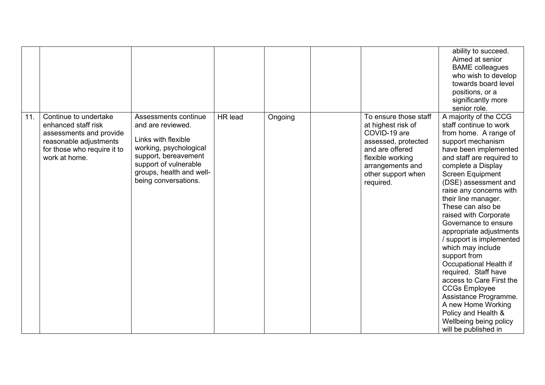|     |                                                                                                                                                   |                                                                                                                                                                                                 |                |         |                                                                                                                                                                                  | ability to succeed.<br>Aimed at senior<br><b>BAME</b> colleagues<br>who wish to develop<br>towards board level<br>positions, or a<br>significantly more<br>senior role.                                                                                                                                                                                                                                                                                                                                                                                                                                                                                               |
|-----|---------------------------------------------------------------------------------------------------------------------------------------------------|-------------------------------------------------------------------------------------------------------------------------------------------------------------------------------------------------|----------------|---------|----------------------------------------------------------------------------------------------------------------------------------------------------------------------------------|-----------------------------------------------------------------------------------------------------------------------------------------------------------------------------------------------------------------------------------------------------------------------------------------------------------------------------------------------------------------------------------------------------------------------------------------------------------------------------------------------------------------------------------------------------------------------------------------------------------------------------------------------------------------------|
| 11. | Continue to undertake<br>enhanced staff risk<br>assessments and provide<br>reasonable adjustments<br>for those who require it to<br>work at home. | Assessments continue<br>and are reviewed.<br>Links with flexible<br>working, psychological<br>support, bereavement<br>support of vulnerable<br>groups, health and well-<br>being conversations. | <b>HR</b> lead | Ongoing | To ensure those staff<br>at highest risk of<br>COVID-19 are<br>assessed, protected<br>and are offered<br>flexible working<br>arrangements and<br>other support when<br>required. | A majority of the CCG<br>staff continue to work<br>from home. A range of<br>support mechanism<br>have been implemented<br>and staff are required to<br>complete a Display<br>Screen Equipment<br>(DSE) assessment and<br>raise any concerns with<br>their line manager.<br>These can also be<br>raised with Corporate<br>Governance to ensure<br>appropriate adjustments<br>support is implemented<br>which may include<br>support from<br>Occupational Health if<br>required. Staff have<br>access to Care First the<br><b>CCGs Employee</b><br>Assistance Programme.<br>A new Home Working<br>Policy and Health &<br>Wellbeing being policy<br>will be published in |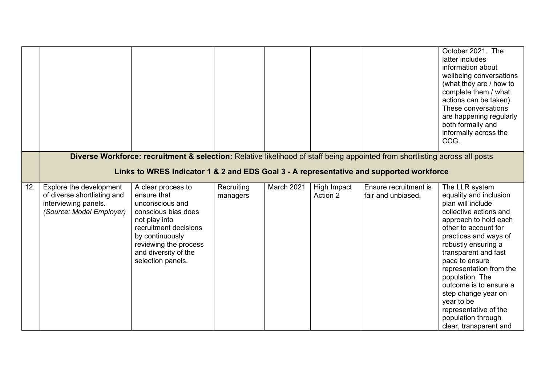|     |                                                                                                            |                                                                                                                                                                                                                        |                        |                   |                         |                                             | October 2021. The<br>latter includes<br>information about<br>wellbeing conversations<br>(what they are / how to<br>complete them / what<br>actions can be taken).<br>These conversations<br>are happening regularly<br>both formally and<br>informally across the<br>CCG.                                                                                                                                                |
|-----|------------------------------------------------------------------------------------------------------------|------------------------------------------------------------------------------------------------------------------------------------------------------------------------------------------------------------------------|------------------------|-------------------|-------------------------|---------------------------------------------|--------------------------------------------------------------------------------------------------------------------------------------------------------------------------------------------------------------------------------------------------------------------------------------------------------------------------------------------------------------------------------------------------------------------------|
|     |                                                                                                            | Diverse Workforce: recruitment & selection: Relative likelihood of staff being appointed from shortlisting across all posts<br>Links to WRES Indicator 1 & 2 and EDS Goal 3 - A representative and supported workforce |                        |                   |                         |                                             |                                                                                                                                                                                                                                                                                                                                                                                                                          |
| 12. | Explore the development<br>of diverse shortlisting and<br>interviewing panels.<br>(Source: Model Employer) | A clear process to<br>ensure that<br>unconscious and<br>conscious bias does<br>not play into<br>recruitment decisions<br>by continuously<br>reviewing the process<br>and diversity of the<br>selection panels.         | Recruiting<br>managers | <b>March 2021</b> | High Impact<br>Action 2 | Ensure recruitment is<br>fair and unbiased. | The LLR system<br>equality and inclusion<br>plan will include<br>collective actions and<br>approach to hold each<br>other to account for<br>practices and ways of<br>robustly ensuring a<br>transparent and fast<br>pace to ensure<br>representation from the<br>population. The<br>outcome is to ensure a<br>step change year on<br>year to be<br>representative of the<br>population through<br>clear, transparent and |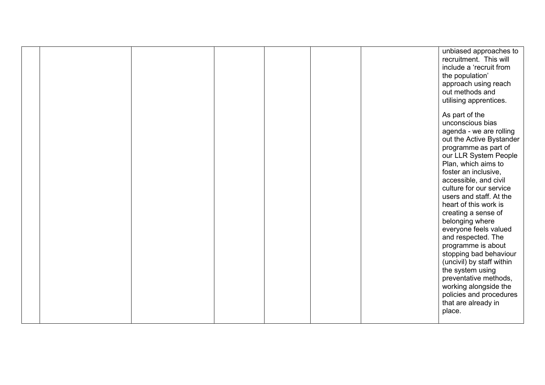|  |  |  | unbiased approaches to<br>recruitment. This will<br>include a 'recruit from<br>the population'<br>approach using reach<br>out methods and<br>utilising apprentices.                                                                                                                                                                                                                                                                                                                                                                                                                                       |
|--|--|--|-----------------------------------------------------------------------------------------------------------------------------------------------------------------------------------------------------------------------------------------------------------------------------------------------------------------------------------------------------------------------------------------------------------------------------------------------------------------------------------------------------------------------------------------------------------------------------------------------------------|
|  |  |  | As part of the<br>unconscious bias<br>agenda - we are rolling<br>out the Active Bystander<br>programme as part of<br>our LLR System People<br>Plan, which aims to<br>foster an inclusive,<br>accessible, and civil<br>culture for our service<br>users and staff. At the<br>heart of this work is<br>creating a sense of<br>belonging where<br>everyone feels valued<br>and respected. The<br>programme is about<br>stopping bad behaviour<br>(uncivil) by staff within<br>the system using<br>preventative methods,<br>working alongside the<br>policies and procedures<br>that are already in<br>place. |
|  |  |  |                                                                                                                                                                                                                                                                                                                                                                                                                                                                                                                                                                                                           |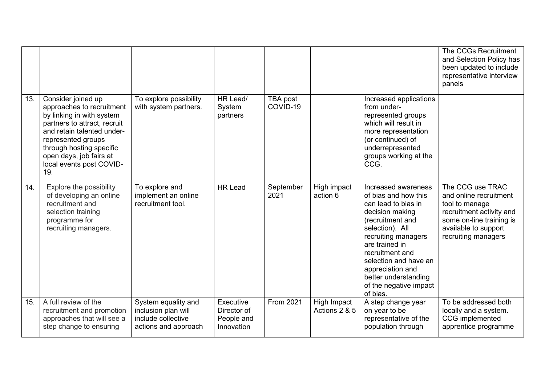|     |                                                                                                                                                                                                                                                            |                                                                                          |                                                      |                      |                              |                                                                                                                                                                                                                                                                                                     | The CCGs Recruitment<br>and Selection Policy has<br>been updated to include<br>representative interview<br>panels                                                   |
|-----|------------------------------------------------------------------------------------------------------------------------------------------------------------------------------------------------------------------------------------------------------------|------------------------------------------------------------------------------------------|------------------------------------------------------|----------------------|------------------------------|-----------------------------------------------------------------------------------------------------------------------------------------------------------------------------------------------------------------------------------------------------------------------------------------------------|---------------------------------------------------------------------------------------------------------------------------------------------------------------------|
| 13. | Consider joined up<br>approaches to recruitment<br>by linking in with system<br>partners to attract, recruit<br>and retain talented under-<br>represented groups<br>through hosting specific<br>open days, job fairs at<br>local events post COVID-<br>19. | To explore possibility<br>with system partners.                                          | HR Lead/<br>System<br>partners                       | TBA post<br>COVID-19 |                              | Increased applications<br>from under-<br>represented groups<br>which will result in<br>more representation<br>(or continued) of<br>underrepresented<br>groups working at the<br>CCG.                                                                                                                |                                                                                                                                                                     |
| 14. | Explore the possibility<br>of developing an online<br>recruitment and<br>selection training<br>programme for<br>recruiting managers.                                                                                                                       | To explore and<br>implement an online<br>recruitment tool.                               | <b>HR Lead</b>                                       | September<br>2021    | High impact<br>action 6      | Increased awareness<br>of bias and how this<br>can lead to bias in<br>decision making<br>(recruitment and<br>selection). All<br>recruiting managers<br>are trained in<br>recruitment and<br>selection and have an<br>appreciation and<br>better understanding<br>of the negative impact<br>of bias. | The CCG use TRAC<br>and online recruitment<br>tool to manage<br>recruitment activity and<br>some on-line training is<br>available to support<br>recruiting managers |
| 15. | A full review of the<br>recruitment and promotion<br>approaches that will see a<br>step change to ensuring                                                                                                                                                 | System equality and<br>inclusion plan will<br>include collective<br>actions and approach | Executive<br>Director of<br>People and<br>Innovation | <b>From 2021</b>     | High Impact<br>Actions 2 & 5 | A step change year<br>on year to be<br>representative of the<br>population through                                                                                                                                                                                                                  | To be addressed both<br>locally and a system.<br><b>CCG</b> implemented<br>apprentice programme                                                                     |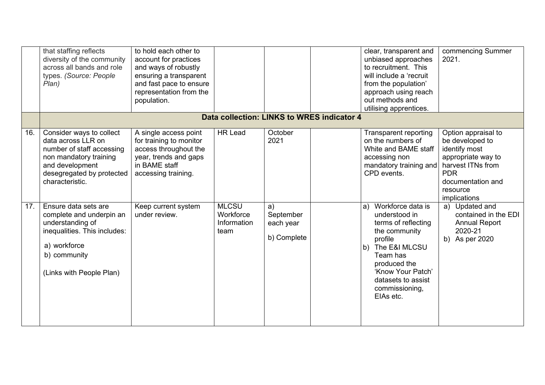|     | that staffing reflects<br>diversity of the community<br>across all bands and role<br>types. (Source: People<br>Plan)                                                     | to hold each other to<br>account for practices<br>and ways of robustly<br>ensuring a transparent<br>and fast pace to ensure<br>representation from the<br>population. |                                                  |                                             | clear, transparent and<br>unbiased approaches<br>to recruitment. This<br>will include a 'recruit<br>from the population'<br>approach using reach<br>out methods and<br>utilising apprentices.                            | commencing Summer<br>2021.                                                                                                                                        |
|-----|--------------------------------------------------------------------------------------------------------------------------------------------------------------------------|-----------------------------------------------------------------------------------------------------------------------------------------------------------------------|--------------------------------------------------|---------------------------------------------|--------------------------------------------------------------------------------------------------------------------------------------------------------------------------------------------------------------------------|-------------------------------------------------------------------------------------------------------------------------------------------------------------------|
|     |                                                                                                                                                                          |                                                                                                                                                                       | Data collection: LINKS to WRES indicator 4       |                                             |                                                                                                                                                                                                                          |                                                                                                                                                                   |
| 16. | Consider ways to collect<br>data across LLR on<br>number of staff accessing<br>non mandatory training<br>and development<br>desegregated by protected<br>characteristic. | A single access point<br>for training to monitor<br>access throughout the<br>year, trends and gaps<br>in BAME staff<br>accessing training.                            | <b>HR Lead</b>                                   | October<br>2021                             | Transparent reporting<br>on the numbers of<br>White and BAME staff<br>accessing non<br>mandatory training and<br>CPD events.                                                                                             | Option appraisal to<br>be developed to<br>identify most<br>appropriate way to<br>harvest ITNs from<br><b>PDR</b><br>documentation and<br>resource<br>implications |
| 17. | Ensure data sets are<br>complete and underpin an<br>understanding of<br>inequalities. This includes:<br>a) workforce<br>b) community<br>(Links with People Plan)         | Keep current system<br>under review.                                                                                                                                  | <b>MLCSU</b><br>Workforce<br>Information<br>team | a)<br>September<br>each year<br>b) Complete | Workforce data is<br>a)<br>understood in<br>terms of reflecting<br>the community<br>profile<br>The E&I MLCSU<br>b)<br>Team has<br>produced the<br>'Know Your Patch'<br>datasets to assist<br>commissioning,<br>EIAs etc. | a) Updated and<br>contained in the EDI<br><b>Annual Report</b><br>2020-21<br>b) As per 2020                                                                       |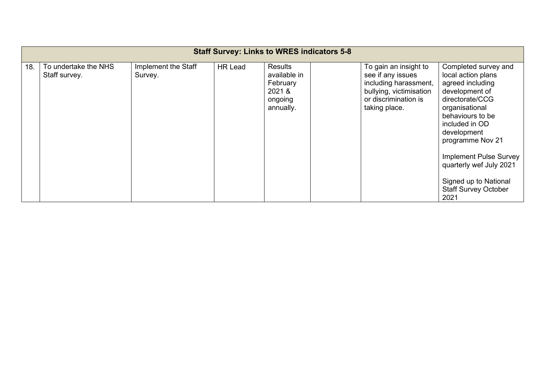| <b>Staff Survey: Links to WRES indicators 5-8</b> |                                       |                                |                |                                                                              |  |                                                                                                                                         |                                                                                                                                                                                                                                                                                                                            |
|---------------------------------------------------|---------------------------------------|--------------------------------|----------------|------------------------------------------------------------------------------|--|-----------------------------------------------------------------------------------------------------------------------------------------|----------------------------------------------------------------------------------------------------------------------------------------------------------------------------------------------------------------------------------------------------------------------------------------------------------------------------|
| 18.                                               | To undertake the NHS<br>Staff survey. | Implement the Staff<br>Survey. | <b>HR Lead</b> | <b>Results</b><br>available in<br>February<br>2021 &<br>ongoing<br>annually. |  | To gain an insight to<br>see if any issues<br>including harassment,<br>bullying, victimisation<br>or discrimination is<br>taking place. | Completed survey and<br>local action plans<br>agreed including<br>development of<br>directorate/CCG<br>organisational<br>behaviours to be<br>included in OD<br>development<br>programme Nov 21<br><b>Implement Pulse Survey</b><br>quarterly wef July 2021<br>Signed up to National<br><b>Staff Survey October</b><br>2021 |